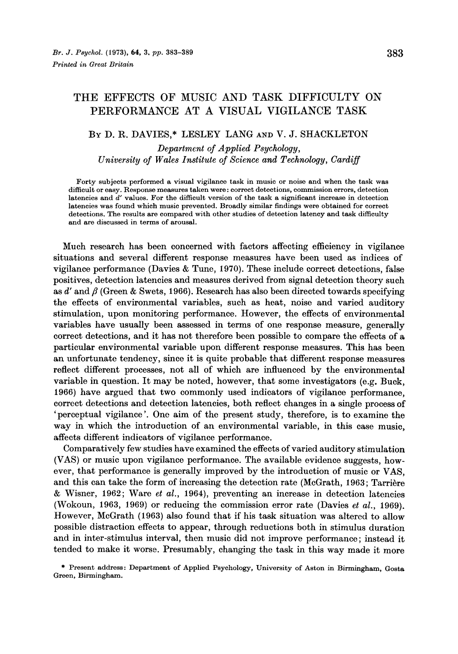# **THE EFFECTS OF MUSIC AND TASK DIFFICULTY ON PERFORMANCE AT A VISUAL VIGILANCE TASK**

#### **BY** D. R. DAVIES,\* LESLEY LANG **AND** V. J. SHACKLETON

*Department* of *Applied Psychology, University of Wales Institute of Science and Technology, Cardiff* 

**Forty subjects performed a visual vigilance task in music or noise and when the task was difficult or easy. Response measures taken were** : **correct detections, commission errors, detection latencies and** *d'* **values. For the difficult version of the task a significant increase in dcteotion latencies was found which music prevented. Broadly similar findings were obtained for correct detections. The rcsults are compared with other studies** of **detection latency and task difficulty and are discussed in terms of arousal.** 

Much research has been concerned with factors affecting efficiency in vigilance situations and several different response measures have been used as indices of vigilance performance (Davies & Tune, **1970).** These include correct detections, false positives, detection latencies and measures derived from signal detection theory such as  $d'$  and  $\beta$  (Green & Swets, 1966). Research has also been directed towards specifying the effects of environmental variables, such as heat, noise and varied auditory stimulation, upon monitoring performance. However, the effects of environmental variables have usually been assessed in terms of one response measure, generally correct detections, and it has not therefore been possible to compare the effects of a particular environmental variable upon different response measures. This has been an unfortunate tendency, since it is quite probable that different response measures reflect different processes, not all of which are influenced by the environmental variable in question. It may be noted, however, that some investigators (e.g. Buck, **1966)** have argued that two commonly used indicators of vigilance performance, correct detections and detection latencies, both reflect changes in a single process of 'perceptual vigilance'. One aim of the present study, therefore, is to examine the way in which the introduction of an environmental variable, in this case music, affects different indicators of vigilance performance.

Comparatively few studies have examined the effects of varied auditory stimulation (VAS) or music upon vigilance performance. The available evidence suggests, however, that performance is generally improved by the introduction of music or VAS, and this can take the form of increasing the detection rate (McGrath, 1963; Tarrière & Wisner, **1962;** Ware *et al.,* **1964),** preventing an increase in detection latencies (Wokoun, **1963, 1969)** or reducing the commission error rate (Davies *et al.,* **1969).**  However, McGrath **(1963)** also found that if his task situation was altered to allow possible distraction effects to appear, through reductions both in stimulus duration and in inter-stimulus interval, then music did not improve performance; instead it tended to make it worse. Presumably, changing the task in this way made it more

\* **Present address: Department of Applied Psychology, University of Aston in Birmingham, Gost8 Green, Birmingham.**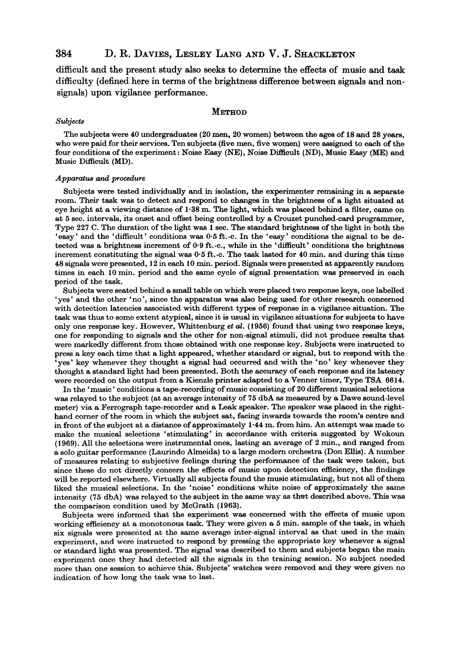## 384 D. R. DAVIES, LESLEY LANG AND V. J. SHACKLETON

difficult and the present study also seeks to determine the effects of music and task difficulty (defined here in terms of the brightness difference between signals and nonsignals) upon vigilance performance.

#### **METHOD**

#### *Subjects*

The subjects were **40** undergraduates **(20** men, **20** women) between the ages of **18** and **28** years, who were paid for their services. Ten subjects (five men, five women) were assigned to each of the four conditions of the experiment: Noise Easy (NE), Noise Difficult (ND), Music Easy (ME) and Music Difficult (MD).

#### *Apparatua* **and** *procedure*

Subjects were tested individually and in isolation, the experimenter remaining in **a** separate room. Their task was to detect and respond to **changes** in the brightness of **a** light situated at eye height at **a** viewing distance of **1.38** m. The light, which was placed behind **a** filter, came on at *5* sec. intervals, its onset and offset being controlled by **a** Crouzet punched-card programmer, Type **227** C. The duration of the light was *1* sec. The standard brightness of the light in both the 'easy' and the 'difficult' conditions was *0.5* ft.-c. In the 'easy' conditions the signal to be detected was a brightness increment of 0.9 ft.-c., while in the 'difficult' conditions the brightness increment constituting the signal was *0-5* ft.-c. The task lasted for **40** min. and during this time **48** signals were presented, **12** in each **10** min. period. Signals were presented at apparently random times in each **10** min. period and the same cycle of signal presentation was preserved in each period of the task.

Subjects were seated behind a small table on which were placed two response keys, one labelled 'yes' and the other 'no', since the apparatus was **also** being used for other research concerned with detection latencies associated with different types of response in a vigilance situation. The task was thus to some extent atypical, since it is usual in vigilance situations for subjects to have only one response key. However, Whittenburg *et* **al. (1956)** found that using two response keys, one for responding to signals and the other for non-signal stimuli, did not produce results that were markedly different from those obtained with one response key. Subjects were instructed to press **a** key each time that a light appeared, whether standard or signal, but to respond with the 'yes' key whenever they thought a signal had occurred and with the 'no' key whenever they thought **a** standard light had been presented. Both the accuracy of each response and its latency were recorded on the output from **a** Kienzle printer adapted to **a** Venner timer, Type TSA **6614.** 

In the 'music' conditions a tape-recording of music consisting of **20** different musical selections was relayed to the subject (at an average intensity of **75** dbA **as** measured by **a** Dawe sound-level meter) via a Ferrograph tape-recorder and a Leak speaker. The speaker was placed in the righthand corner of the room in which the subject sat, facing inwards towards the room's centre and in front of the subject at a distance of approximately **1-44** m. from him. **An** attempt was made to make the musical selections 'stimulating' in accordance with criteria suggested by Wokoun **(1969).** All the selections were instrumental ones, lasting an average of **2** min., and ranged from **a** solo guitar performance (Laurindo Almeida) to a large modern orchestra (Don Ellis). A number of measures relating to subjective feelings during the performance of the task were taken, but since these do not directly concern the effects of music upon detection efficiency, the findings will be reported elsewhere. Virtually all subjects found the music stimulating, but not all of them liked the musical selections. In the 'noise' conditions white noise of approximately the same intensity **(75** dbA) was relayed to the subject in the same way **as** thwt described above. This was the comparison condition used by McGrath **(1963).** 

Subjects were informed that the experiment was concerned with the effects of music upon working efficiency at a monotonous task. They were given a *5* min. sample of the task, **in** which six signals were presented at the same average inter-signal interval **as** that used in the main experiment, and were instructed to respond by pressing the appropriate key whenever **a** signal or standard light was presented. The signal was described to them and subjects began the main experiment once they had detected all the signals in the training session. No subject needed more than one session to achieve this. Subjects' watches were removed and they were given no indication of how long the task was to last.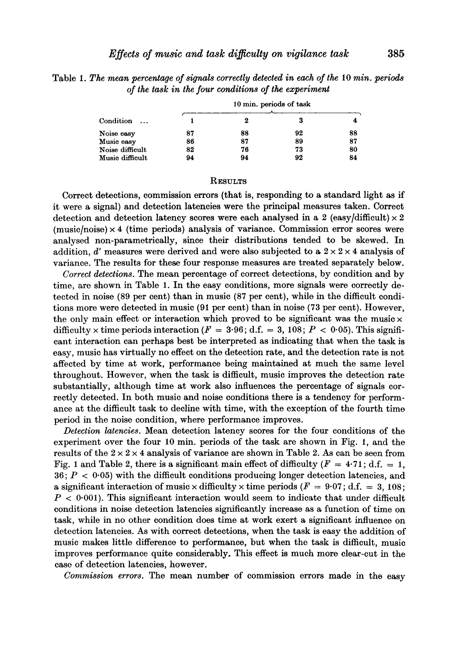Table **1.** *The mean percentage of signals correctly detected in each of the* **10** *min. periods*  **of** *the task in the four conditions of the experiment* 

| Condition<br>$\ddotsc$ | 10 min. periods of task |    |    |    |
|------------------------|-------------------------|----|----|----|
|                        |                         |    |    |    |
| Noise easy             | 87                      | 88 | 92 | 88 |
| Music easy             | 86                      | 87 | 89 | 87 |
| Noise difficult        | 82                      | 76 | 73 | 80 |
| Music difficult        | 94                      | 94 | 92 | 84 |

#### **RESULTS**

Correct detections, commission errors (that is, responding to **a** standard light **as** if it were a signal) and detection latencies were the principal measures taken. Correct detection and detection latency scores were each analysed in a 2  $\text{(easy/difficult)} \times 2$  $(music/noise) \times 4$  (time periods) analysis of variance. Commission error scores were analysed non-parametrically, since their distributions tended to be skewed. In addition,  $d'$  measures were derived and were also subjected to a  $2 \times 2 \times 4$  analysis of variance. The results for these four response measures are treated separately below.

*Correct detections.* The mean percentage of correct detections, by condition and by time, are shown in Table **1.** In the easy conditions, more signals were correctly detected in noise **(89** per cent) than in music **(87** per cent), while in the difficult conditions more were detected in music **(91** per cent) than in noise **(73** per cent). However, the only main effect or interaction which proved to be significant was the music  $\times$ difficulty  $\times$  time periods interaction ( $F = 3.96$ ; d.f. = 3, 108;  $P < 0.05$ ). This significant interaction can perhaps best be interpreted as indicating that when the task is easy, music has virtually no effect on the detection rate, and the detection rate is not affected by time at work, performance being maintained at much the same level throughout. However, when the task is difficult, music improves the detection rate substantially, although time at work also influences the percentage of signals correctly detected. In both music and noise conditions there is a tendency for performance at the difficult task to decline with time, with the exception of the fourth time period in the noise condition, where performance improves.

*Detection latencies.* Mean detection latency scores for the four conditions of the experiment over the four **10** min. periods of the task are shown in Fig. **I,** and the results of the  $2 \times 2 \times 4$  analysis of variance are shown in Table 2. As can be seen from Fig. 1 and Table 2, there is a significant main effect of difficulty  $(F = 4.71$ ; d.f. = 1,  $36; P < 0.05$ ) with the difficult conditions producing longer detection latencies, and a significant interaction of music  $\times$  difficulty  $\times$  time periods ( $F = 9.07$ ; d.f. = 3, 108;  $P < 0.001$ ). This significant interaction would seem to indicate that under difficult conditions in noise detection latencies significantly increase as a function of time on task, while in no other condition does time at work exert a significant influence on detection latencies. **As** with correct detections, when the task is easy the addition of music makes little difference to performance, but when the task is difficult, music improves performance quite considerably. This effect **is** much more clear-cut in the case of detection latencies, however.

*Commission errors.* The mean number of commission errors made in the easy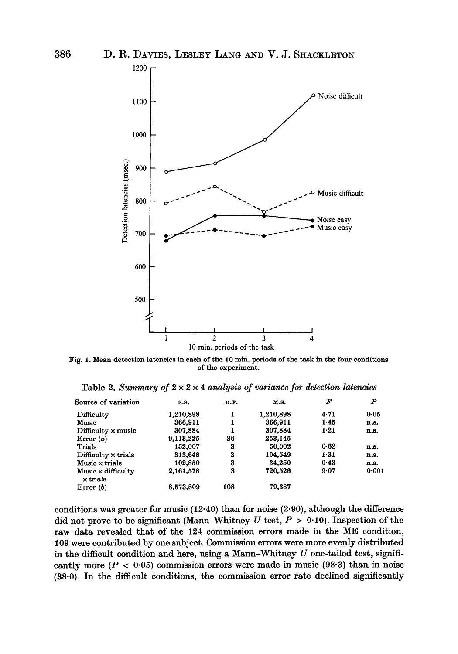

Fig. 1. Mean detection latencies in each of the 10 min. periods of the task in the four conditions **of the experiment.** 

|  |  |  |  | Table 2. Summary of $2 \times 2 \times 4$ analysis of variance for detection latencies |
|--|--|--|--|----------------------------------------------------------------------------------------|
|--|--|--|--|----------------------------------------------------------------------------------------|

| Source of variation                          | <b>S.S.</b> | D.F. | M.S.      | F        | $\boldsymbol{P}$ |
|----------------------------------------------|-------------|------|-----------|----------|------------------|
| Difficulty                                   | 1,210,898   | 1    | 1,210,898 | 4.71     | 0.05             |
| Music                                        | 366,911     |      | 366,911   | 1.45     | n.s.             |
| $Difficulty \times music$                    | 307,884     |      | 307,884   | $1 - 21$ | n.s.             |
| Error $(a)$                                  | 9,113,225   | 36   | 253.145   |          |                  |
| Trials                                       | 152.007     | 3    | 50,002    | 0.62     | n.s.             |
| $Difficulty \times trials$                   | 313,648     | 3    | 104,549   | $1 - 31$ | n.s.             |
| $Music \times trials$                        | 102,850     | 3    | 34,250    | 0.43     | n.s.             |
| $Music \times difficulty$<br>$\times$ trials | 2,161,578   | 3    | 720.526   | 9.07     | 0.001            |
| Error $(b)$                                  | 8,573,809   | 108  | 79,387    |          |                  |

conditions was greater for music **(12.40)** than for noise **(2.90),** although the difference did not prove to be significant (Mann-Whitney  $U$  test,  $P > 0.10$ ). Inspection of the raw data, revealed that of the **124** commission errors made in the ME condition, 109 were contributed by one subject. Commission errors were more evenly distributed in the difficult condition and here, using a Mann-Whitney *U* one-tailed test, significantly more  $(P < 0.05)$  commission errors were made in music  $(98.3)$  than in noise (38.0). In the difficult conditions, the commission error rate declined significantly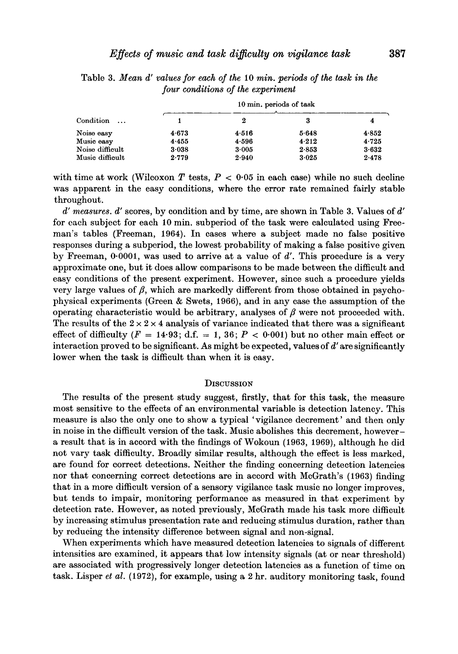| Condition<br>$\cdots$ | 10 min. periods of task |       |       |           |  |
|-----------------------|-------------------------|-------|-------|-----------|--|
|                       |                         | 2     | 3     |           |  |
| Noise easv            | 4.673                   | 4.516 | 5.648 | 4.852     |  |
| Music easy            | 4.455                   | 4.596 | 4.212 | 4.725     |  |
| Noise difficult       | 3.038                   | 3.005 | 2.853 | $3 - 632$ |  |
| Music difficult       | 2.779                   | 2.940 | 3.025 | 2.478     |  |
|                       |                         |       |       |           |  |

Table **3.** *Mean d' values for each* of *the* **10** *min. periods* of *the task in the four conditions of the experiment* 

with time at work (Wilcoxon  $T$  tests,  $P < 0.05$  in each case) while no such decline was apparent in the easy conditions, where the error rate remained fairly stable throughout.

*d' measures. d'* scores, by condition and by time, are shown in Table **3.** Values of *d'*  for each subject for each **10** min. subperiod of the task were calculated using Freeman's tables (Freeman, **1964).** In cases where a subject made no false positive responses during a subperiod, the lowest probability of making a false positive given by Freeman, **0.0001,** was used to arrive at a value of *d'.* This procedure is a very approximate one, but it does allow comparisons to be made between the difficult and easy conditions of the present experiment. However, since such a procedure yields very large values of  $\beta$ , which are markedly different from those obtained in psychophysical experiments (Green & Swets, **1966),** and in any case the assumption of the operating characteristic would be arbitrary, analyses of  $\beta$  were not proceeded with. The results of the  $2 \times 2 \times 4$  analysis of variance indicated that there was a significant effect of difficulty  $(F = 14.93$ ; d.f.  $= 1, 36$ ;  $P < 0.001$ ) but no other main effect or interaction proved to be significant. **As** might be expected, values of *d'* are significantly lower when the task is difficult than when it is easy.

#### **DISCUSSION**

The results of the present study suggest, firstly, that for this task, the measure most sensitive to the effects of an environmental variable is detection latency. This measure is also the only one to show a typical 'vigilance decrement' and then only in noise in the difficult version of the task. Music abolishes this decrement, howevera result that is in accord with the findings of Wokoun **(1963, 1969),** although he did not vary task difficulty. Broadly similar results, although the effect is less marked, are found for correct detections. Neither the finding concerning detection latencies nor that concerning correct detections are in accord with McGrath's **(1963)** finding that in a more difficult version of a sensory vigilance task music no longer improves, but tends to impair, monitoring performance as measured in that experiment by detection rate. However, as noted previously, McGrath made his task more difficult by increasing stimulus presentation rate and reducing stimulus duration, rather than by reducing the intensity difference between signal and non-signal.

When experiments which have measured detection latencies to signals of different intensities are examined, it appears that low intensity signals (at or near threshold) are associated with progressively longer detection latencies as a function of time on task. Lisper *et al.* **(1972),** for example, using a *2* hr. auditory monitoring task, found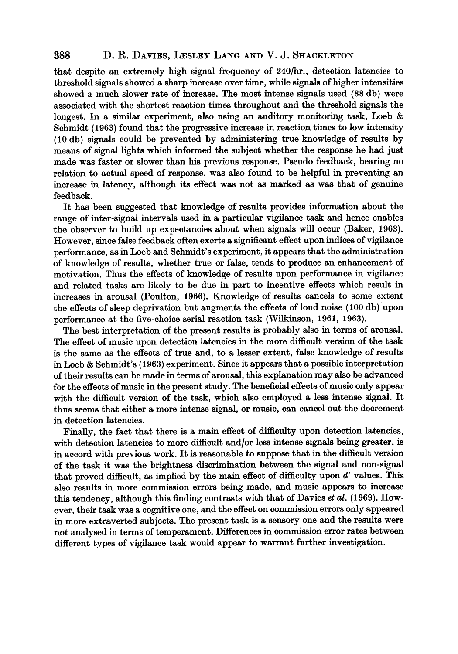### **888 D. R. DAVIES, LESLEY LANG AND V. J. SHACKLETON**

that despite an extremely high signal frequency of 240/hr., detection latencies to threshold signals showed a sharp increase over time, while signals of higher intensities showed a much slower rate of increase. The most intense signals used (88 db) were associated with the shortest reaction times throughout and the threshold signals the longest. In a similar experiment, also using an auditory monitoring task, Loeb & Schmidt **(1963)** found that the progressive increase in reaction times to low intensity **(10** db) signals could be prevented by administering true knowledge of results by means of signal lights which informed the subject whether the response he had just made was faster or slower than his previous response. Pseudo feedback, bearing no relation to actual speed of response, was also found to be helpful in preventing an increase in latency, although its effect was not **as** marked **as** was that of genuine feedback.

It has been suggested that knowledge of results provides information about the range of inter-signal intervals used in a particular vigilance task and hence enables the observer to build up expectancies about when signals will occur (Baker, **1963).**  However, since false feedback often exerts a significant effect upon indices of vigilance performance, as in Loeb and Schmidt's experiment, it appears that the administration of knowledge of results, whether true or false, tends to produce an enhancement of motivation. Thus the effects of knowledge of results upon performance in vigilance and related tasks are likely to be due in part to incentive effects which result in increases in arousal (Poulton, **1966).** Knowledge of results cancels to some extent the effects of sleep deprivation but augments the effects of loud noise **(100** db) upon performance at the five-choice serial reaction task (Wilkinson, **1961, 1963).** 

The best interpretation of the present results is probably also in terms of arousal. The effect of music upon detection latencies in the more difficult version of the task is the same as the effects of true and, to a lesser extent, false knowledge of results in Loeb & Schmidt's **(1963)** experiment. Since it appears that a possible interpretation of their results can be made in terms of arousal, this explanation may also be advanced for the effects of music in the present study. The beneficial effects of music only appear with the difficult version of the task, which also employed a **less** intense signal. It thus seems that either a more intense signal, or music, can cancel out the decrement in detection latencies.

Finally, the fact that there is **a** main effect of difficulty upon detection latencies, with detection latencies to more difficult and/or less intense signals being greater, is in accord with previous work. It is reasonable to suppose that in the difficult version of the task it was the brightness discrimination between the signal and non-signal that proved difficult, as implied by the main effect of difficulty upon *d'* values. This also results in more commission errors being made, and music appears to increase this tendency, although this finding contrssts with that of Davies *et* al. **(1969).** However, their task was a cognitive one, and the effect on commission errors only appeared in more extraverted subjects. The present task is a sensory one and the results were not analysed in terms of temperament. Differences in commission error rates between different **types** of vigilance task would appear to warrant further investigation.